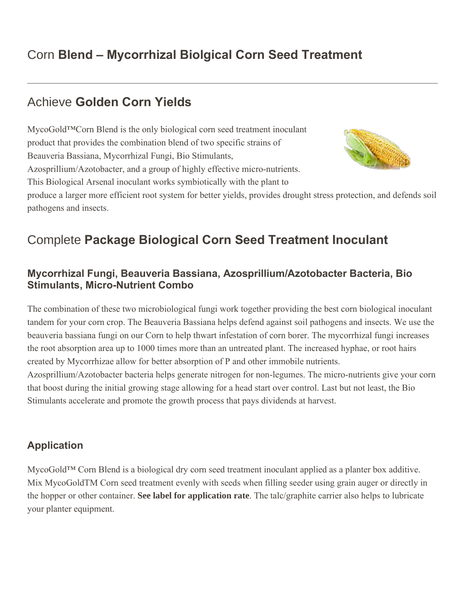## Corn **Blend – [Mycorrhizal Biolgical Corn Seed Treatment](http://www.mycogold.com/corn-blend-mycogold-products/)**

### Achieve **Golden Corn Yields**

MycoGold™Corn Blend is the only biological corn seed treatment inoculant STA product that provides the combination blend of two specific strains of Beauveria Bassiana, Mycorrhizal Fungi, Bio Stimulants, Azosprillium/Azotobacter, and a group of highly effective micro-nutrients. This Biological Arsenal inoculant works symbiotically with the plant to produce a larger more efficient root system for better yields, provides drought stress protection, and defends soil pathogens and insects.

# Complete **Package Biological Corn Seed Treatment Inoculant**

#### **Mycorrhizal Fungi, Beauveria Bassiana, Azosprillium/Azotobacter Bacteria, Bio Stimulants, Micro-Nutrient Combo**

The combination of these two microbiological fungi work together providing the best corn biological inoculant tandem for your corn crop. The Beauveria Bassiana helps defend against soil pathogens and insects. We use the beauveria bassiana fungi on our Corn to help thwart infestation of corn borer. The mycorrhizal fungi increases the root absorption area up to 1000 times more than an untreated plant. The increased hyphae, or root hairs created by Mycorrhizae allow for better absorption of P and other immobile nutrients.

Azosprillium/Azotobacter bacteria helps generate nitrogen for non-legumes. The micro-nutrients give your corn that boost during the initial growing stage allowing for a head start over control. Last but not least, the Bio Stimulants accelerate and promote the growth process that pays dividends at harvest.

#### **Application**

MycoGold™ Corn Blend is a biological dry corn seed treatment inoculant applied as a planter box additive. Mix MycoGoldTM Corn seed treatment evenly with seeds when filling seeder using grain auger or directly in the hopper or other container. **See label for application rate**. The talc/graphite carrier also helps to lubricate your planter equipment.